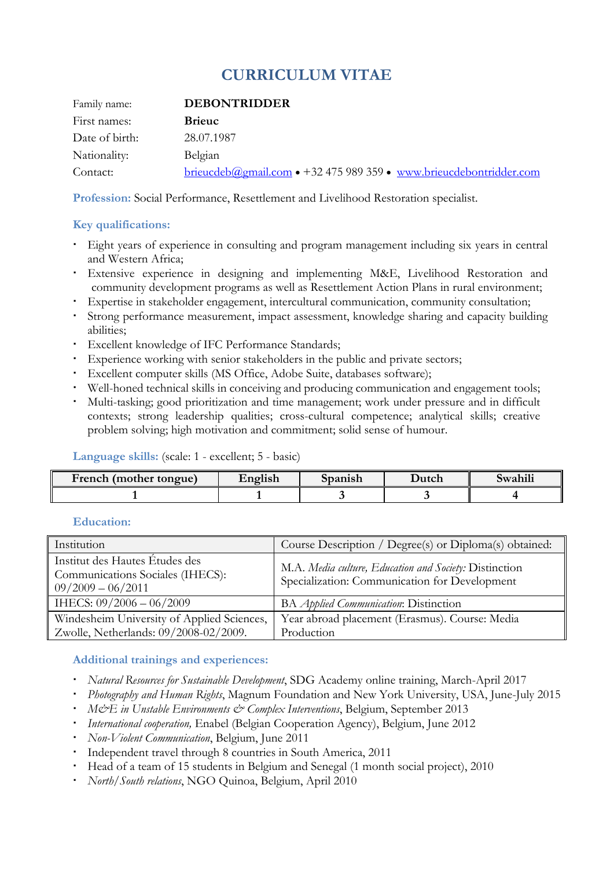# **CURRICULUM VITAE**

| Family name:   | <b>DEBONTRIDDER</b>                                                         |
|----------------|-----------------------------------------------------------------------------|
| First names:   | <b>Brieuc</b>                                                               |
| Date of birth: | 28.07.1987                                                                  |
| Nationality:   | Belgian                                                                     |
| Contact:       | $b$ rieucdeb $(a)$ gmail.com • +32 475 989 359 • www.brieucdebontridder.com |

**Profession:** Social Performance, Resettlement and Livelihood Restoration specialist.

### **Key qualifications:**

- Eight years of experience in consulting and program management including six years in central and Western Africa;
- Extensive experience in designing and implementing M&E, Livelihood Restoration and community development programs as well as Resettlement Action Plans in rural environment;
- Expertise in stakeholder engagement, intercultural communication, community consultation;
- Strong performance measurement, impact assessment, knowledge sharing and capacity building abilities;
- Excellent knowledge of IFC Performance Standards;
- Experience working with senior stakeholders in the public and private sectors;
- Excellent computer skills (MS Office, Adobe Suite, databases software);
- Well-honed technical skills in conceiving and producing communication and engagement tools;
- Multi-tasking; good prioritization and time management; work under pressure and in difficult contexts; strong leadership qualities; cross-cultural competence; analytical skills; creative problem solving; high motivation and commitment; solid sense of humour.

#### **Language skills:** (scale: 1 - excellent; 5 - basic)

| French (mother tongue) | $\cdots$<br><b>English</b> | Spanish | Dutch | Swahili |
|------------------------|----------------------------|---------|-------|---------|
|                        |                            |         |       |         |

#### **Education:**

| Institution                                                                                         | Course Description / Degree(s) or Diploma(s) obtained:                                                  |  |
|-----------------------------------------------------------------------------------------------------|---------------------------------------------------------------------------------------------------------|--|
| Institut des Hautes Études des<br>Communications Sociales (IHECS):<br>$\mid 09/2009 - 06/2011 \mid$ | M.A. Media culture, Education and Society: Distinction<br>Specialization: Communication for Development |  |
| $\parallel$ IHECS: 09/2006 - 06/2009                                                                | BA <i>Applied Communication</i> : Distinction                                                           |  |
| Windesheim University of Applied Sciences,                                                          | Year abroad placement (Erasmus). Course: Media                                                          |  |
| Zwolle, Netherlands: 09/2008-02/2009.                                                               | Production                                                                                              |  |

#### **Additional trainings and experiences:**

- *Natural Resources for Sustainable Development*, SDG Academy online training, March-April 2017
- *Photography and Human Rights*, Magnum Foundation and New York University, USA, June-July 2015
- **M** $\circ$ E in Unstable Environments  $\circ$  Complex Interventions, Belgium, September 2013
- *International cooperation,* Enabel (Belgian Cooperation Agency), Belgium, June 2012
- *Non-Violent Communication*, Belgium, June 2011
- Independent travel through 8 countries in South America, 2011
- Head of a team of 15 students in Belgium and Senegal (1 month social project), 2010
- *North/South relations*, NGO Quinoa, Belgium, April 2010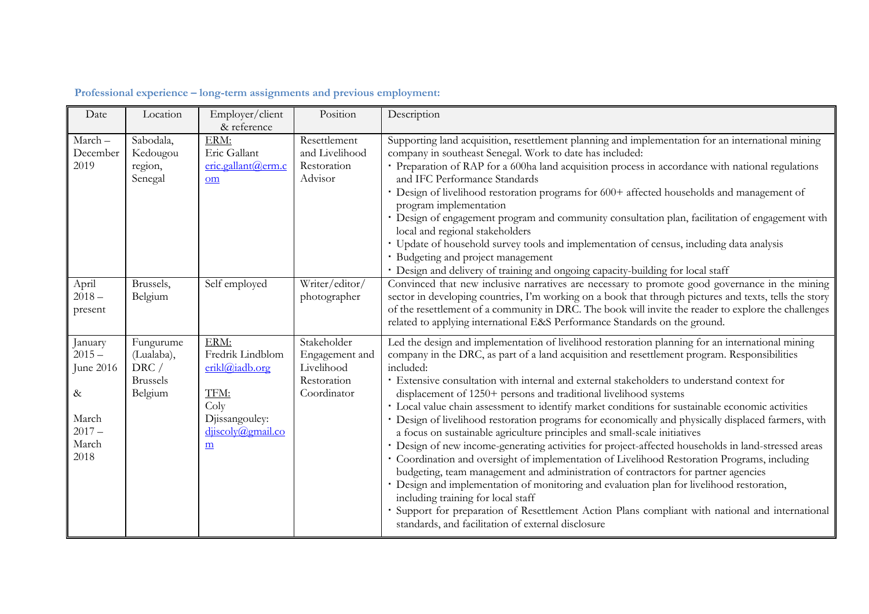| Date      | Location        | Employer/client    | Position       | Description                                                                                            |
|-----------|-----------------|--------------------|----------------|--------------------------------------------------------------------------------------------------------|
|           |                 | & reference        |                |                                                                                                        |
| March-    | Sabodala,       | ERM:               | Resettlement   | Supporting land acquisition, resettlement planning and implementation for an international mining      |
| December  | Kedougou        | Eric Gallant       | and Livelihood | company in southeast Senegal. Work to date has included:                                               |
| 2019      | region,         | eric.gallant@erm.c | Restoration    | · Preparation of RAP for a 600ha land acquisition process in accordance with national regulations      |
|           | Senegal         | om                 | Advisor        | and IFC Performance Standards                                                                          |
|           |                 |                    |                | · Design of livelihood restoration programs for 600+ affected households and management of             |
|           |                 |                    |                | program implementation                                                                                 |
|           |                 |                    |                | · Design of engagement program and community consultation plan, facilitation of engagement with        |
|           |                 |                    |                | local and regional stakeholders                                                                        |
|           |                 |                    |                | · Update of household survey tools and implementation of census, including data analysis               |
|           |                 |                    |                | · Budgeting and project management                                                                     |
|           |                 |                    |                | · Design and delivery of training and ongoing capacity-building for local staff                        |
| April     | Brussels,       | Self employed      | Writer/editor/ | Convinced that new inclusive narratives are necessary to promote good governance in the mining         |
| $2018 -$  | Belgium         |                    | photographer   | sector in developing countries, I'm working on a book that through pictures and texts, tells the story |
| present   |                 |                    |                | of the resettlement of a community in DRC. The book will invite the reader to explore the challenges   |
|           |                 |                    |                | related to applying international E&S Performance Standards on the ground.                             |
| January   | Fungurume       | ERM:               | Stakeholder    | Led the design and implementation of livelihood restoration planning for an international mining       |
| $2015 -$  | (Lualaba),      | Fredrik Lindblom   | Engagement and | company in the DRC, as part of a land acquisition and resettlement program. Responsibilities           |
| June 2016 | DRC/            | erikl@iadb.org     | Livelihood     | included:                                                                                              |
|           | <b>Brussels</b> |                    | Restoration    | · Extensive consultation with internal and external stakeholders to understand context for             |
| $\&$      | Belgium         | TFM:               | Coordinator    | displacement of 1250+ persons and traditional livelihood systems                                       |
|           |                 | Coly               |                | · Local value chain assessment to identify market conditions for sustainable economic activities       |
| March     |                 | Djissangouley:     |                | · Design of livelihood restoration programs for economically and physically displaced farmers, with    |
| $2017 -$  |                 | djiscoly@gmail.co  |                | a focus on sustainable agriculture principles and small-scale initiatives                              |
| March     |                 | $\underline{m}$    |                | · Design of new income-generating activities for project-affected households in land-stressed areas    |
| 2018      |                 |                    |                | · Coordination and oversight of implementation of Livelihood Restoration Programs, including           |
|           |                 |                    |                | budgeting, team management and administration of contractors for partner agencies                      |
|           |                 |                    |                | · Design and implementation of monitoring and evaluation plan for livelihood restoration,              |
|           |                 |                    |                | including training for local staff                                                                     |
|           |                 |                    |                | Support for preparation of Resettlement Action Plans compliant with national and international         |
|           |                 |                    |                | standards, and facilitation of external disclosure                                                     |
|           |                 |                    |                |                                                                                                        |

## **Professional experience – long-term assignments and previous employment:**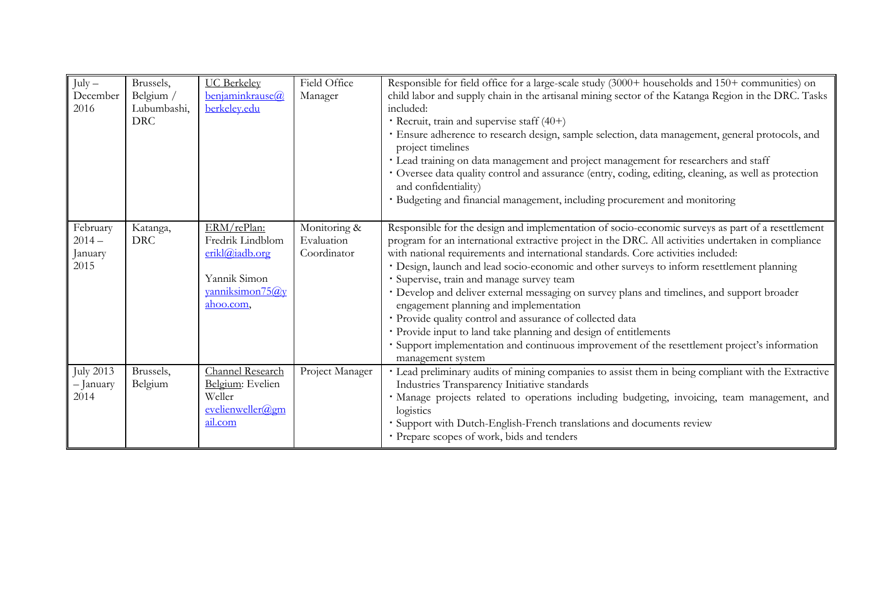| $July -$<br>December<br>2016           | Brussels,<br>Belgium /<br>Lubumbashi,<br><b>DRC</b> | <b>UC</b> Berkeley<br>benjaminkrause@<br>berkeley.edu                                             | Field Office<br>Manager                   | Responsible for field office for a large-scale study (3000+ households and 150+ communities) on<br>child labor and supply chain in the artisanal mining sector of the Katanga Region in the DRC. Tasks<br>included:<br>Recruit, train and supervise staff $(40+)$<br>· Ensure adherence to research design, sample selection, data management, general protocols, and<br>project timelines<br>· Lead training on data management and project management for researchers and staff<br>· Oversee data quality control and assurance (entry, coding, editing, cleaning, as well as protection<br>and confidentiality)<br>· Budgeting and financial management, including procurement and monitoring                                                                                                                                         |
|----------------------------------------|-----------------------------------------------------|---------------------------------------------------------------------------------------------------|-------------------------------------------|------------------------------------------------------------------------------------------------------------------------------------------------------------------------------------------------------------------------------------------------------------------------------------------------------------------------------------------------------------------------------------------------------------------------------------------------------------------------------------------------------------------------------------------------------------------------------------------------------------------------------------------------------------------------------------------------------------------------------------------------------------------------------------------------------------------------------------------|
| February<br>$2014-$<br>January<br>2015 | Katanga,<br><b>DRC</b>                              | ERM/rePlan:<br>Fredrik Lindblom<br>erikl@iadb.org<br>Yannik Simon<br>yanniksimon75@y<br>ahoo.com. | Monitoring &<br>Evaluation<br>Coordinator | Responsible for the design and implementation of socio-economic surveys as part of a resettlement<br>program for an international extractive project in the DRC. All activities undertaken in compliance<br>with national requirements and international standards. Core activities included:<br>· Design, launch and lead socio-economic and other surveys to inform resettlement planning<br>· Supervise, train and manage survey team<br>· Develop and deliver external messaging on survey plans and timelines, and support broader<br>engagement planning and implementation<br>· Provide quality control and assurance of collected data<br>· Provide input to land take planning and design of entitlements<br>· Support implementation and continuous improvement of the resettlement project's information<br>management system |
| <b>July 2013</b><br>- January<br>2014  | Brussels,<br>Belgium                                | Channel Research<br>Belgium: Evelien<br>Weller<br>evelienweller@gm<br>ail.com                     | Project Manager                           | · Lead preliminary audits of mining companies to assist them in being compliant with the Extractive<br>Industries Transparency Initiative standards<br>· Manage projects related to operations including budgeting, invoicing, team management, and<br>logistics<br>· Support with Dutch-English-French translations and documents review<br>· Prepare scopes of work, bids and tenders                                                                                                                                                                                                                                                                                                                                                                                                                                                  |